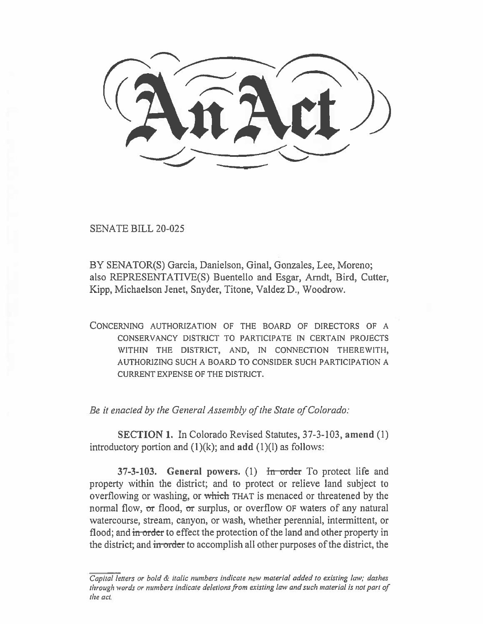SENATE BILL 20-025

BY SENATOR(S) Garcia, Danielson, Ginal, Gonzales, Lee, Moreno; also REPRESENTATIVE(S) Buentello and Esgar, Arndt, Bird, Cutter, Kipp, Michaelson Jenet, Snyder, Titone, Valdez D., Woodrow.

CONCERNING AUTHORIZATION OF THE BOARD OF DIRECTORS OF A CONSERVANCY DISTRICT TO PARTICIPATE IN CERTAIN PROJECTS WITHIN THE DISTRICT, AND, IN CONNECTION THEREWITH, AUTHORIZING SUCH A BOARD TO CONSIDER SUCH PARTICIPATION A CURRENT EXPENSE OF THE DISTRICT.

*Be it enacted by the General Assembly of the State of Colorado:* 

SECTION 1. In Colorado Revised Statutes, 37-3-103, amend (1) introductory portion and  $(1)(k)$ ; and add  $(1)(l)$  as follows:

37-3-103. General powers.  $(1)$  for order To protect life and property within the district; and to protect or relieve land subject to overflowing or washing, or which THAT is menaced or threatened by the normal flow, or flood, or surplus, or overflow OF waters of any natural watercourse, stream, canyon, or wash, whether perennial, intermittent, or flood; and in order to effect the protection of the land and other property in the district; and in order to accomplish all other purposes of the district, the

Capital letters or bold & italic numbers indicate new material added to existing law; dashes through words or numbers indicate deletions from existing law and such material is not part of the act.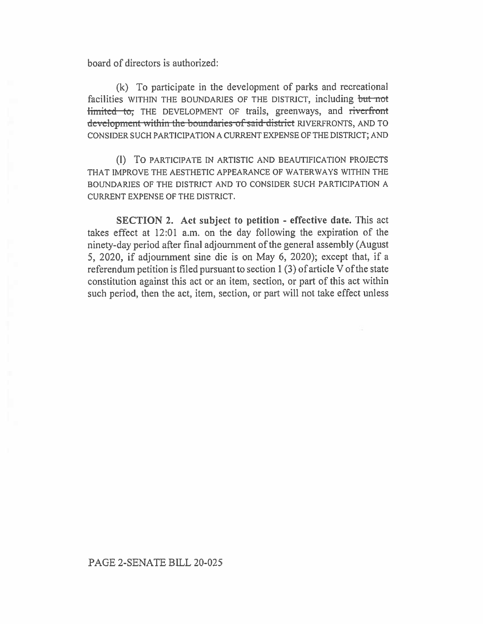board of directors is authorized:

(k) To participate in the development of parks and recreational facilities WITHIN THE BOUNDARIES OF THE DISTRICT, including but not limited to; THE DEVELOPMENT OF trails, greenways, and riverfront **tick** that within the boundaries of said district RIVERFRONTS, AND TO CONSIDER SUCH PARTICIPATION A CURRENT EXPENSE OF THE DISTRICT; AND

**(1)** TO PARTICIPATE IN ARTISTIC AND BEAUTIFICATION PROJECTS THAT IMPROVE THE AESTHETIC APPEARANCE OF WATERWAYS WITHIN THE BOUNDARIES OF THE DISTRICT AND TO CONSIDER SUCH PARTICIPATION A CURRENT EXPENSE OF THE DISTRICT.

**SECTION 2. Act subject to petition - effective date.** This act takes effect at 12:01 a.m. on the day following the expiration of the ninety-day period after final adjournment of the general assembly (August 5, 2020, if adjournment sine die is on May 6, 2020); except that, if a referendum petition is filed pursuant to section 1 (3) of article V of the state constitution against this act or an item, section, or part of this act within such period, then the act, item, section, or part will not take effect unless